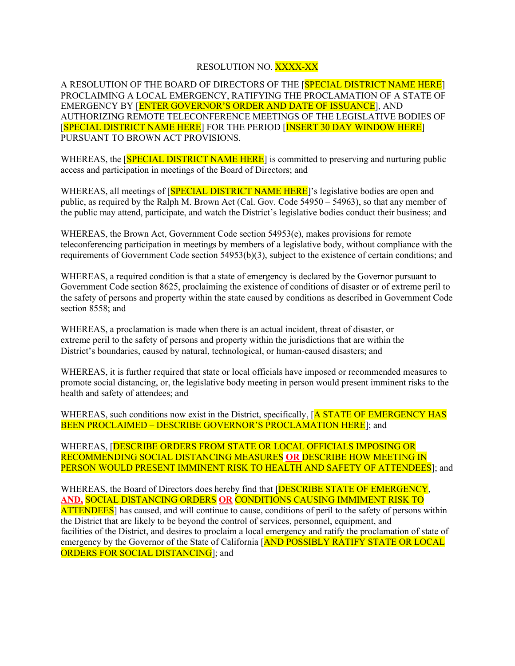## RESOLUTION NO. XXXX-XX

A RESOLUTION OF THE BOARD OF DIRECTORS OF THE [SPECIAL DISTRICT NAME HERE] PROCLAIMING A LOCAL EMERGENCY, RATIFYING THE PROCLAMATION OF A STATE OF EMERGENCY BY [ENTER GOVERNOR'S ORDER AND DATE OF ISSUANCE], AND AUTHORIZING REMOTE TELECONFERENCE MEETINGS OF THE LEGISLATIVE BODIES OF [SPECIAL DISTRICT NAME HERE] FOR THE PERIOD [INSERT 30 DAY WINDOW HERE] PURSUANT TO BROWN ACT PROVISIONS.

WHEREAS, the **SPECIAL DISTRICT NAME HERE** is committed to preserving and nurturing public access and participation in meetings of the Board of Directors; and

WHEREAS, all meetings of **SPECIAL DISTRICT NAME HERE**]'s legislative bodies are open and public, as required by the Ralph M. Brown Act (Cal. Gov. Code 54950 – 54963), so that any member of the public may attend, participate, and watch the District's legislative bodies conduct their business; and

WHEREAS, the Brown Act, Government Code section 54953(e), makes provisions for remote teleconferencing participation in meetings by members of a legislative body, without compliance with the requirements of Government Code section 54953(b)(3), subject to the existence of certain conditions; and

WHEREAS, a required condition is that a state of emergency is declared by the Governor pursuant to Government Code section 8625, proclaiming the existence of conditions of disaster or of extreme peril to the safety of persons and property within the state caused by conditions as described in Government Code section 8558; and

WHEREAS, a proclamation is made when there is an actual incident, threat of disaster, or extreme peril to the safety of persons and property within the jurisdictions that are within the District's boundaries, caused by natural, technological, or human-caused disasters; and

WHEREAS, it is further required that state or local officials have imposed or recommended measures to promote social distancing, or, the legislative body meeting in person would present imminent risks to the health and safety of attendees; and

WHEREAS, such conditions now exist in the District, specifically, [A STATE OF EMERGENCY HAS BEEN PROCLAIMED – DESCRIBE GOVERNOR'S PROCLAMATION HERE<sup>]</sup>; and

WHEREAS, [DESCRIBE ORDERS FROM STATE OR LOCAL OFFICIALS IMPOSING OR RECOMMENDING SOCIAL DISTANCING MEASURES **OR** DESCRIBE HOW MEETING IN PERSON WOULD PRESENT IMMINENT RISK TO HEALTH AND SAFETY OF ATTENDEES]; and

WHEREAS, the Board of Directors does hereby find that [DESCRIBE STATE OF EMERGENCY, **AND,** SOCIAL DISTANCING ORDERS **OR** CONDITIONS CAUSING IMMIMENT RISK TO ATTENDEES] has caused, and will continue to cause, conditions of peril to the safety of persons within the District that are likely to be beyond the control of services, personnel, equipment, and facilities of the District, and desires to proclaim a local emergency and ratify the proclamation of state of emergency by the Governor of the State of California [AND POSSIBLY RATIFY STATE OR LOCAL **ORDERS FOR SOCIAL DISTANCING**]; and